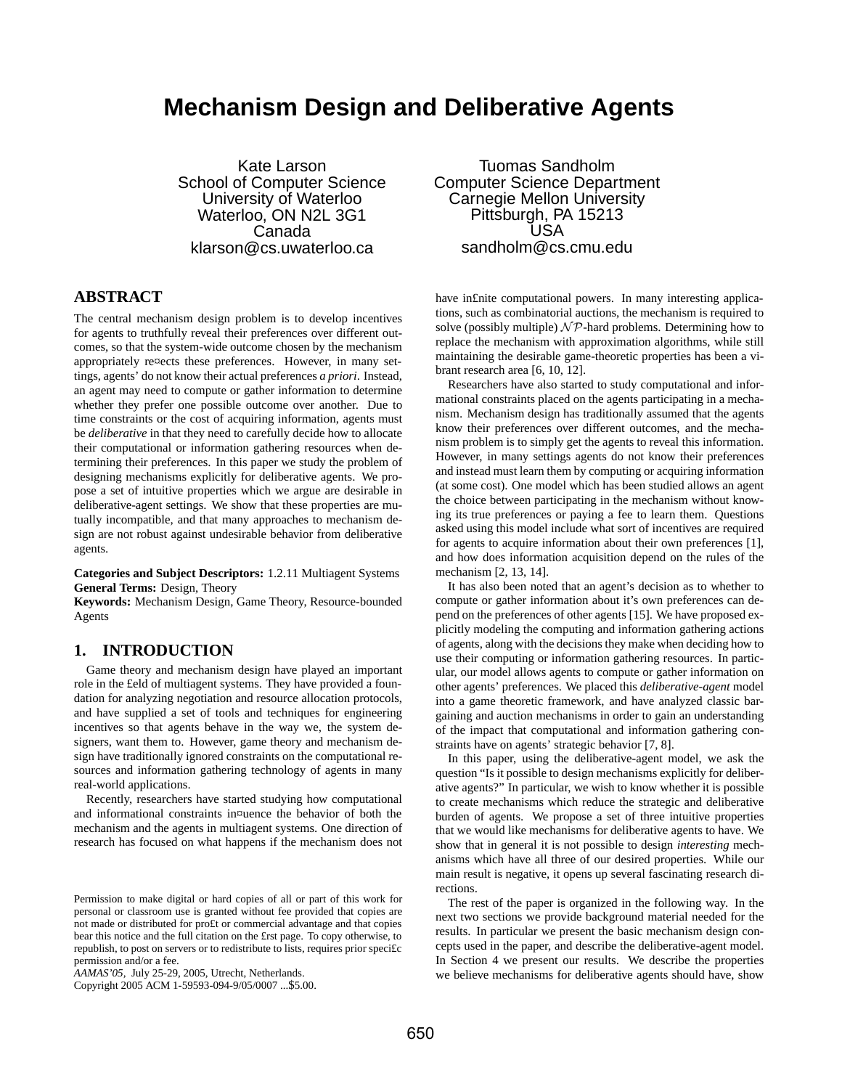# **Mechanism Design and Deliberative Agents**

Kate Larson School of Computer Science University of Waterloo Waterloo, ON N2L 3G1 Canada klarson@cs.uwaterloo.ca

## **ABSTRACT**

The central mechanism design problem is to develop incentives for agents to truthfully reveal their preferences over different outcomes, so that the system-wide outcome chosen by the mechanism appropriately re¤ects these preferences. However, in many settings, agents' do not know their actual preferences *a priori*. Instead, an agent may need to compute or gather information to determine whether they prefer one possible outcome over another. Due to time constraints or the cost of acquiring information, agents must be *deliberative* in that they need to carefully decide how to allocate their computational or information gathering resources when determining their preferences. In this paper we study the problem of designing mechanisms explicitly for deliberative agents. We propose a set of intuitive properties which we argue are desirable in deliberative-agent settings. We show that these properties are mutually incompatible, and that many approaches to mechanism design are not robust against undesirable behavior from deliberative agents.

**Categories and Subject Descriptors:** 1.2.11 Multiagent Systems **General Terms:** Design, Theory

**Keywords:** Mechanism Design, Game Theory, Resource-bounded Agents

# **1. INTRODUCTION**

Game theory and mechanism design have played an important role in the £eld of multiagent systems. They have provided a foundation for analyzing negotiation and resource allocation protocols, and have supplied a set of tools and techniques for engineering incentives so that agents behave in the way we, the system designers, want them to. However, game theory and mechanism design have traditionally ignored constraints on the computational resources and information gathering technology of agents in many real-world applications.

Recently, researchers have started studying how computational and informational constraints in¤uence the behavior of both the mechanism and the agents in multiagent systems. One direction of research has focused on what happens if the mechanism does not

Copyright 2005 ACM 1-59593-094-9/05/0007 ...\$5.00.

Tuomas Sandholm Computer Science Department Carnegie Mellon University Pittsburgh, PA 15213 USA sandholm@cs.cmu.edu

have in£nite computational powers. In many interesting applications, such as combinatorial auctions, the mechanism is required to solve (possibly multiple)  $N\mathcal{P}$ -hard problems. Determining how to replace the mechanism with approximation algorithms, while still maintaining the desirable game-theoretic properties has been a vibrant research area [6, 10, 12].

Researchers have also started to study computational and informational constraints placed on the agents participating in a mechanism. Mechanism design has traditionally assumed that the agents know their preferences over different outcomes, and the mechanism problem is to simply get the agents to reveal this information. However, in many settings agents do not know their preferences and instead must learn them by computing or acquiring information (at some cost). One model which has been studied allows an agent the choice between participating in the mechanism without knowing its true preferences or paying a fee to learn them. Questions asked using this model include what sort of incentives are required for agents to acquire information about their own preferences [1], and how does information acquisition depend on the rules of the mechanism [2, 13, 14].

It has also been noted that an agent's decision as to whether to compute or gather information about it's own preferences can depend on the preferences of other agents [15]. We have proposed explicitly modeling the computing and information gathering actions of agents, along with the decisionsthey make when deciding how to use their computing or information gathering resources. In particular, our model allows agents to compute or gather information on other agents' preferences. We placed this *deliberative-agent* model into a game theoretic framework, and have analyzed classic bargaining and auction mechanisms in order to gain an understanding of the impact that computational and information gathering constraints have on agents' strategic behavior [7, 8].

In this paper, using the deliberative-agent model, we ask the question "Is it possible to design mechanisms explicitly for deliberative agents?" In particular, we wish to know whether it is possible to create mechanisms which reduce the strategic and deliberative burden of agents. We propose a set of three intuitive properties that we would like mechanisms for deliberative agents to have. We show that in general it is not possible to design *interesting* mechanisms which have all three of our desired properties. While our main result is negative, it opens up several fascinating research directions.

The rest of the paper is organized in the following way. In the next two sections we provide background material needed for the results. In particular we present the basic mechanism design concepts used in the paper, and describe the deliberative-agent model. In Section 4 we present our results. We describe the properties we believe mechanisms for deliberative agents should have, show

Permission to make digital or hard copies of all or part of this work for personal or classroom use is granted without fee provided that copies are not made or distributed for pro£t or commercial advantage and that copies bear this notice and the full citation on the £rst page. To copy otherwise, to republish, to post on servers or to redistribute to lists, requires prior speci£c permission and/or a fee.

*AAMAS'05,* July 25-29, 2005, Utrecht, Netherlands.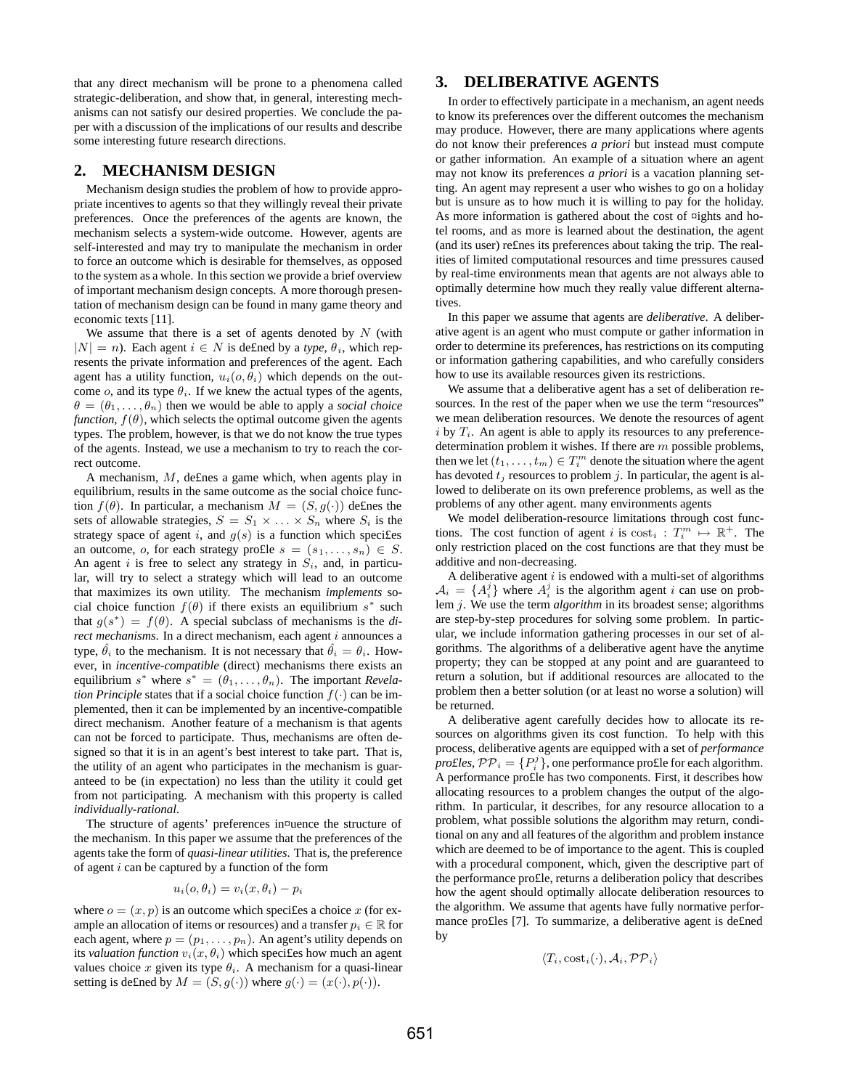that any direct mechanism will be prone to a phenomena called strategic-deliberation, and show that, in general, interesting mechanisms can not satisfy our desired properties. We conclude the paper with a discussion of the implications of our results and describe some interesting future research directions.

## **2. MECHANISM DESIGN**

Mechanism design studies the problem of how to provide appropriate incentives to agents so that they willingly reveal their private preferences. Once the preferences of the agents are known, the mechanism selects a system-wide outcome. However, agents are self-interested and may try to manipulate the mechanism in order to force an outcome which is desirable for themselves, as opposed to the system as a whole. In this section we provide a brief overview of important mechanism design concepts. A more thorough presentation of mechanism design can be found in many game theory and economic texts [11].

We assume that there is a set of agents denoted by  $N$  (with  $|N| = n$ ). Each agent  $i \in N$  is defined by a *type*,  $\theta_i$ , which represents the private information and preferences of the agent. Each agent has a utility function,  $u_i(o, \theta_i)$  which depends on the outcome o, and its type  $\theta_i$ . If we knew the actual types of the agents,  $\theta = (\theta_1, \dots, \theta_n)$  then we would be able to apply a *social choice function,*  $f(\theta)$ , which selects the optimal outcome given the agents types. The problem, however, is that we do not know the true types of the agents. Instead, we use a mechanism to try to reach the correct outcome.

A mechanism, M, de£nes a game which, when agents play in equilibrium, results in the same outcome as the social choice function  $f(\theta)$ . In particular, a mechanism  $M = (S, g(\cdot))$  defines the sets of allowable strategies,  $S = S_1 \times \ldots \times S_n$  where  $S_i$  is the strategy space of agent  $i$ , and  $g(s)$  is a function which specifies an outcome, o, for each strategy pro£le  $s = (s_1, \ldots, s_n) \in S$ . An agent i is free to select any strategy in  $S_i$ , and, in particular, will try to select a strategy which will lead to an outcome that maximizes its own utility. The mechanism *implements* social choice function  $f(\theta)$  if there exists an equilibrium  $s^*$  such that  $g(s^*) = f(\theta)$ . A special subclass of mechanisms is the *direct mechanisms*. In a direct mechanism, each agent *i* announces a type,  $\hat{\theta}_i$  to the mechanism. It is not necessary that  $\hat{\theta}_i = \theta_i$ . However, in *incentive-compatible* (direct) mechanisms there exists an equilibrium  $s^*$  where  $s^* = (\theta_1, \dots, \theta_n)$ . The important *Revelation Principle* states that if a social choice function  $f(\cdot)$  can be implemented, then it can be implemented by an incentive-compatible direct mechanism. Another feature of a mechanism is that agents can not be forced to participate. Thus, mechanisms are often designed so that it is in an agent's best interest to take part. That is, the utility of an agent who participates in the mechanism is guaranteed to be (in expectation) no less than the utility it could get from not participating. A mechanism with this property is called *individually-rational*.

The structure of agents' preferences in¤uence the structure of the mechanism. In this paper we assume that the preferences of the agents take the form of *quasi-linear utilities*. That is, the preference of agent  $i$  can be captured by a function of the form

$$
u_i(o, \theta_i) = v_i(x, \theta_i) - p_i
$$

where  $o = (x, p)$  is an outcome which specifies a choice x (for example an allocation of items or resources) and a transfer  $p_i \in \mathbb{R}$  for each agent, where  $p = (p_1, \ldots, p_n)$ . An agent's utility depends on its *valuation function*  $v_i(x, \theta_i)$  which specifies how much an agent values choice x given its type  $\theta_i$ . A mechanism for a quasi-linear setting is defined by  $M = (S, g(\cdot))$  where  $g(\cdot) = (x(\cdot), p(\cdot))$ .

## **3. DELIBERATIVE AGENTS**

In order to effectively participate in a mechanism, an agent needs to know its preferences over the different outcomes the mechanism may produce. However, there are many applications where agents do not know their preferences *a priori* but instead must compute or gather information. An example of a situation where an agent may not know its preferences *a priori* is a vacation planning setting. An agent may represent a user who wishes to go on a holiday but is unsure as to how much it is willing to pay for the holiday. As more information is gathered about the cost of ¤ights and hotel rooms, and as more is learned about the destination, the agent (and its user) re£nes its preferences about taking the trip. The realities of limited computational resources and time pressures caused by real-time environments mean that agents are not always able to optimally determine how much they really value different alternatives.

In this paper we assume that agents are *deliberative*. A deliberative agent is an agent who must compute or gather information in order to determine its preferences, has restrictions on its computing or information gathering capabilities, and who carefully considers how to use its available resources given its restrictions.

We assume that a deliberative agent has a set of deliberation resources. In the rest of the paper when we use the term "resources" we mean deliberation resources. We denote the resources of agent i by  $T_i$ . An agent is able to apply its resources to any preferencedetermination problem it wishes. If there are m possible problems, then we let  $(t_1, \ldots, t_m) \in T_i^m$  denote the situation where the agent has devoted  $t_j$  resources to problem j. In particular, the agent is allowed to deliberate on its own preference problems, as well as the problems of any other agent. many environments agents

We model deliberation-resource limitations through cost functions. The cost function of agent i is  $\text{cost}_i : T_i^m \mapsto \mathbb{R}^+$ . The only restriction placed on the cost functions are that they must be additive and non-decreasing.

A deliberative agent  $i$  is endowed with a multi-set of algorithms  $A_i = \{A_i^j\}$  where  $A_i^j$  is the algorithm agent i can use on problem j. We use the term *algorithm* in its broadest sense; algorithms are step-by-step procedures for solving some problem. In particular, we include information gathering processes in our set of algorithms. The algorithms of a deliberative agent have the anytime property; they can be stopped at any point and are guaranteed to return a solution, but if additional resources are allocated to the problem then a better solution (or at least no worse a solution) will be returned.

A deliberative agent carefully decides how to allocate its resources on algorithms given its cost function. To help with this process, deliberative agents are equipped with a set of *performance pro£les*,  $PP_i = \{P_i^j\}$ , one performance pro£le for each algorithm. A performance pro£le has two components. First, it describes how allocating resources to a problem changes the output of the algorithm. In particular, it describes, for any resource allocation to a problem, what possible solutions the algorithm may return, conditional on any and all features of the algorithm and problem instance which are deemed to be of importance to the agent. This is coupled with a procedural component, which, given the descriptive part of the performance pro£le, returns a deliberation policy that describes how the agent should optimally allocate deliberation resources to the algorithm. We assume that agents have fully normative performance pro£les [7]. To summarize, a deliberative agent is de£ned by

$$
\langle T_i, \text{cost}_i(\cdot), \mathcal{A}_i, \mathcal{PP}_i \rangle
$$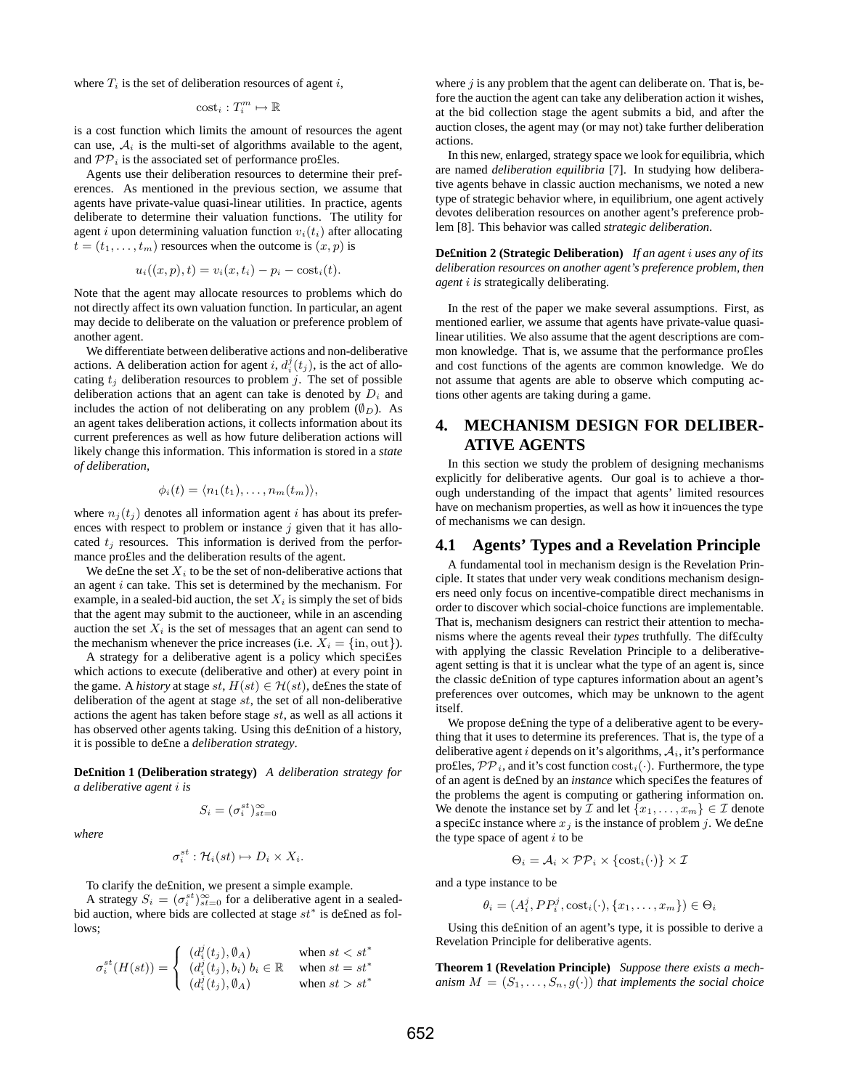where  $T_i$  is the set of deliberation resources of agent i,

$$
\mathrm{cost}_i : T_i^m \mapsto \mathbb{R}
$$

is a cost function which limits the amount of resources the agent can use,  $A_i$  is the multi-set of algorithms available to the agent, and  $\mathcal{PP}_i$  is the associated set of performance pro£les.

Agents use their deliberation resources to determine their preferences. As mentioned in the previous section, we assume that agents have private-value quasi-linear utilities. In practice, agents deliberate to determine their valuation functions. The utility for agent *i* upon determining valuation function  $v_i(t_i)$  after allocating  $t = (t_1, \ldots, t_m)$  resources when the outcome is  $(x, p)$  is

$$
u_i((x, p), t) = v_i(x, t_i) - p_i - \text{cost}_i(t).
$$

Note that the agent may allocate resources to problems which do not directly affect its own valuation function. In particular, an agent may decide to deliberate on the valuation or preference problem of another agent.

We differentiate between deliberative actions and non-deliberative actions. A deliberation action for agent i,  $d_i^j(t_j)$ , is the act of allocating  $t_i$  deliberation resources to problem j. The set of possible deliberation actions that an agent can take is denoted by  $D_i$  and includes the action of not deliberating on any problem  $(\emptyset_D)$ . As an agent takes deliberation actions, it collects information about its current preferences as well as how future deliberation actions will likely change this information. This information is stored in a *state of deliberation*,

$$
\phi_i(t) = \langle n_1(t_1), \ldots, n_m(t_m) \rangle,
$$

where  $n_j(t_j)$  denotes all information agent i has about its preferences with respect to problem or instance  $j$  given that it has allocated  $t_j$  resources. This information is derived from the performance pro£les and the deliberation results of the agent.

We define the set  $X_i$  to be the set of non-deliberative actions that an agent  $i$  can take. This set is determined by the mechanism. For example, in a sealed-bid auction, the set  $X_i$  is simply the set of bids that the agent may submit to the auctioneer, while in an ascending auction the set  $X_i$  is the set of messages that an agent can send to the mechanism whenever the price increases (i.e.  $X_i = \{in, out\}$ ).

A strategy for a deliberative agent is a policy which speci£es which actions to execute (deliberative and other) at every point in the game. A *history* at stage  $st$ ,  $H(st) \in H(st)$ , defines the state of deliberation of the agent at stage  $st$ , the set of all non-deliberative actions the agent has taken before stage st, as well as all actions it has observed other agents taking. Using this de£nition of a history, it is possible to de£ne a *deliberation strategy*.

**De£nition 1 (Deliberation strategy)** *A deliberation strategy for a deliberative agent* i *is*

$$
S_i = (\sigma_i^{st})_{st=0}^{\infty}
$$

*where*

$$
\sigma_i^{st}: \mathcal{H}_i(st) \mapsto D_i \times X_i.
$$

To clarify the de£nition, we present a simple example.

A strategy  $S_i = (\sigma_i^{st})_{st=0}^{\infty}$  for a deliberative agent in a sealedbid auction, where bids are collected at stage  $st^*$  is defined as follows;

$$
\sigma_i^{st}(H(st)) = \begin{cases}\n(d_i^j(t_j), \emptyset_A) & \text{when } st < st^* \\
(d_i^j(t_j), b_i) b_i \in \mathbb{R} & \text{when } st = st^* \\
(d_i^j(t_j), \emptyset_A) & \text{when } st > st^*\n\end{cases}
$$

where  $j$  is any problem that the agent can deliberate on. That is, before the auction the agent can take any deliberation action it wishes, at the bid collection stage the agent submits a bid, and after the auction closes, the agent may (or may not) take further deliberation actions.

In this new, enlarged, strategy space we look for equilibria, which are named *deliberation equilibria* [7]. In studying how deliberative agents behave in classic auction mechanisms, we noted a new type of strategic behavior where, in equilibrium, one agent actively devotes deliberation resources on another agent's preference problem [8]. This behavior was called *strategic deliberation*.

**De£nition 2 (Strategic Deliberation)** *If an agent* i *uses any of its deliberation resources on another agent's preference problem, then agent* i *is* strategically deliberating*.*

In the rest of the paper we make several assumptions. First, as mentioned earlier, we assume that agents have private-value quasilinear utilities. We also assume that the agent descriptions are common knowledge. That is, we assume that the performance pro£les and cost functions of the agents are common knowledge. We do not assume that agents are able to observe which computing actions other agents are taking during a game.

# **4. MECHANISM DESIGN FOR DELIBER-ATIVE AGENTS**

In this section we study the problem of designing mechanisms explicitly for deliberative agents. Our goal is to achieve a thorough understanding of the impact that agents' limited resources have on mechanism properties, as well as how it in¤uences the type of mechanisms we can design.

## **4.1 Agents' Types and a Revelation Principle**

A fundamental tool in mechanism design is the Revelation Principle. It states that under very weak conditions mechanism designers need only focus on incentive-compatible direct mechanisms in order to discover which social-choice functions are implementable. That is, mechanism designers can restrict their attention to mechanisms where the agents reveal their *types* truthfully. The dif£culty with applying the classic Revelation Principle to a deliberativeagent setting is that it is unclear what the type of an agent is, since the classic de£nition of type captures information about an agent's preferences over outcomes, which may be unknown to the agent itself.

We propose de£ning the type of a deliberative agent to be everything that it uses to determine its preferences. That is, the type of a deliberative agent i depends on it's algorithms,  $A_i$ , it's performance pro£les,  $\mathcal{PP}_i$ , and it's cost function  $cost_i(\cdot)$ . Furthermore, the type of an agent is de£ned by an *instance* which speci£es the features of the problems the agent is computing or gathering information on. We denote the instance set by  $\mathcal I$  and let  $\{x_1, \ldots, x_m\} \in \mathcal I$  denote a specific instance where  $x_j$  is the instance of problem j. We define the type space of agent  $i$  to be

$$
\Theta_i = \mathcal{A}_i \times \mathcal{PP}_i \times \{\text{cost}_i(\cdot)\} \times \mathcal{I}
$$

and a type instance to be

 $\theta_i = (A_i^j, PP_i^j, \text{cost}_i(\cdot), \{x_1, \ldots, x_m\}) \in \Theta_i$ 

Using this de£nition of an agent's type, it is possible to derive a Revelation Principle for deliberative agents.

**Theorem 1 (Revelation Principle)** *Suppose there exists a mechanism*  $M = (S_1, \ldots, S_n, g(\cdot))$  *that implements the social choice*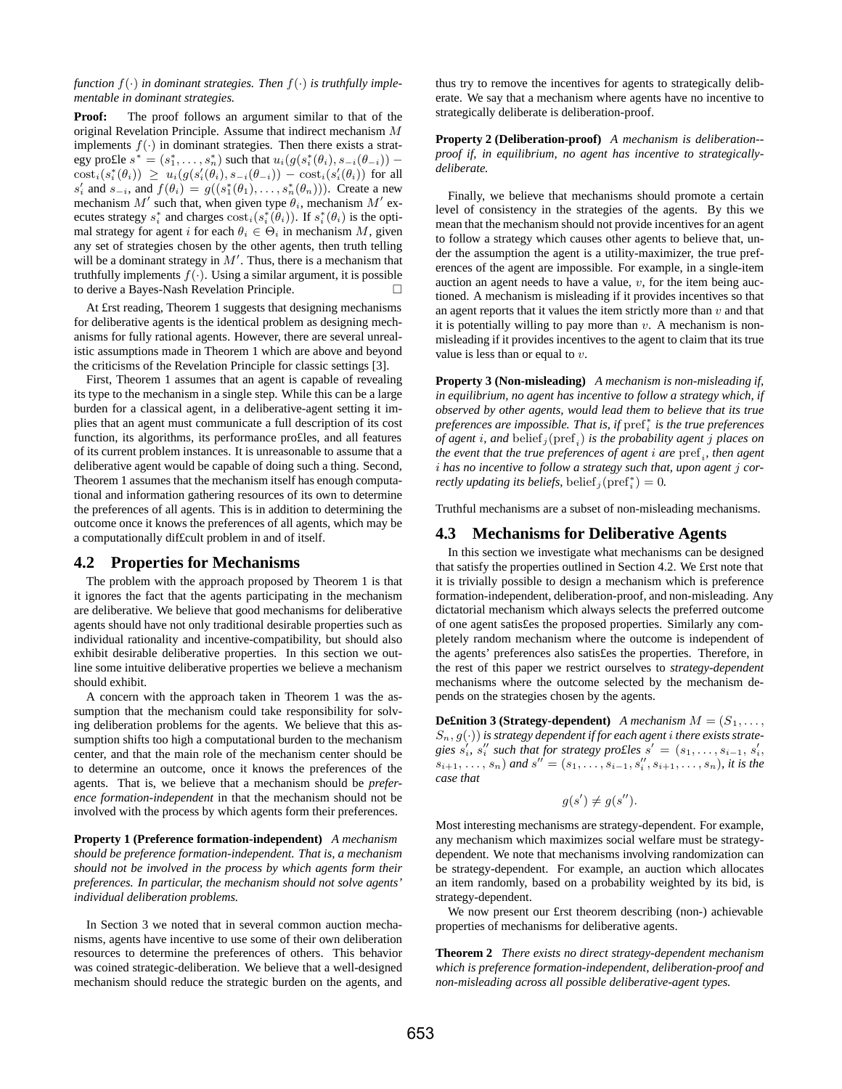#### *function*  $f(\cdot)$  *in dominant strategies. Then*  $f(\cdot)$  *is truthfully implementable in dominant strategies.*

**Proof:** The proof follows an argument similar to that of the original Revelation Principle. Assume that indirect mechanism M implements  $f(.)$  in dominant strategies. Then there exists a strategy pro£le  $s^* = (s_1^*, \ldots, s_n^*)$  such that  $u_i(g(s_i^*(\theta_i), s_{-i}(\theta_{-i}))$  –  $\text{cost}_i(s_i^*(\theta_i)) \geq u_i(g(s_i'(\theta_i), s_{-i}(\theta_{-i})) - \text{cost}_i(s_i'(\theta_i))$  for all  $s'_i$  and  $s_{-i}$ , and  $f(\theta_i) = g((s_1^*(\theta_1), \ldots, s_n^*(\theta_n)))$ . Create a new mechanism  $M'$  such that, when given type  $\theta_i$ , mechanism  $M'$  executes strategy  $s_i^*$  and charges  $\text{cost}_i(s_i^*(\theta_i))$ . If  $s_i^*(\theta_i)$  is the optimal strategy for agent i for each  $\theta_i \in \Theta_i$  in mechanism M, given any set of strategies chosen by the other agents, then truth telling will be a dominant strategy in  $M'$ . Thus, there is a mechanism that truthfully implements  $f(\cdot)$ . Using a similar argument, it is possible to derive a Bayes-Nash Revelation Principle. ¤

At £rst reading, Theorem 1 suggests that designing mechanisms for deliberative agents is the identical problem as designing mechanisms for fully rational agents. However, there are several unrealistic assumptions made in Theorem 1 which are above and beyond the criticisms of the Revelation Principle for classic settings [3].

First, Theorem 1 assumes that an agent is capable of revealing its type to the mechanism in a single step. While this can be a large burden for a classical agent, in a deliberative-agent setting it implies that an agent must communicate a full description of its cost function, its algorithms, its performance pro£les, and all features of its current problem instances. It is unreasonable to assume that a deliberative agent would be capable of doing such a thing. Second, Theorem 1 assumes that the mechanism itself has enough computational and information gathering resources of its own to determine the preferences of all agents. This is in addition to determining the outcome once it knows the preferences of all agents, which may be a computationally dif£cult problem in and of itself.

### **4.2 Properties for Mechanisms**

The problem with the approach proposed by Theorem 1 is that it ignores the fact that the agents participating in the mechanism are deliberative. We believe that good mechanisms for deliberative agents should have not only traditional desirable properties such as individual rationality and incentive-compatibility, but should also exhibit desirable deliberative properties. In this section we outline some intuitive deliberative properties we believe a mechanism should exhibit.

A concern with the approach taken in Theorem 1 was the assumption that the mechanism could take responsibility for solving deliberation problems for the agents. We believe that this assumption shifts too high a computational burden to the mechanism center, and that the main role of the mechanism center should be to determine an outcome, once it knows the preferences of the agents. That is, we believe that a mechanism should be *preference formation-independent* in that the mechanism should not be involved with the process by which agents form their preferences.

**Property 1 (Preference formation-independent)** *A mechanism should be preference formation-independent. That is, a mechanism should not be involved in the process by which agents form their preferences. In particular, the mechanism should not solve agents' individual deliberation problems.*

In Section 3 we noted that in several common auction mechanisms, agents have incentive to use some of their own deliberation resources to determine the preferences of others. This behavior was coined strategic-deliberation. We believe that a well-designed mechanism should reduce the strategic burden on the agents, and thus try to remove the incentives for agents to strategically deliberate. We say that a mechanism where agents have no incentive to strategically deliberate is deliberation-proof.

**Property 2 (Deliberation-proof)** *A mechanism is deliberation- proof if, in equilibrium, no agent has incentive to strategicallydeliberate.*

Finally, we believe that mechanisms should promote a certain level of consistency in the strategies of the agents. By this we mean that the mechanism should not provide incentives for an agent to follow a strategy which causes other agents to believe that, under the assumption the agent is a utility-maximizer, the true preferences of the agent are impossible. For example, in a single-item auction an agent needs to have a value,  $v$ , for the item being auctioned. A mechanism is misleading if it provides incentives so that an agent reports that it values the item strictly more than  $v$  and that it is potentially willing to pay more than  $v$ . A mechanism is nonmisleading if it provides incentives to the agent to claim that its true value is less than or equal to  $v$ .

**Property 3 (Non-misleading)** *A mechanism is non-misleading if, in equilibrium, no agent has incentive to follow a strategy which, if observed by other agents, would lead them to believe that its true preferences are impossible. That is, if* pref<sup>∗</sup> i *is the true preferences of agent* i*, and* belief <sup>j</sup> (pref <sup>i</sup> ) *is the probability agent* j *places on the event that the true preferences of agent* i *are* pref <sup>i</sup> *, then agent* i *has no incentive to follow a strategy such that, upon agent* j *correctly updating its beliefs,* belief<sub>j</sub> $(\text{pref}_i^*)=0$ .

Truthful mechanisms are a subset of non-misleading mechanisms.

## **4.3 Mechanisms for Deliberative Agents**

In this section we investigate what mechanisms can be designed that satisfy the properties outlined in Section 4.2. We £rst note that it is trivially possible to design a mechanism which is preference formation-independent, deliberation-proof, and non-misleading. Any dictatorial mechanism which always selects the preferred outcome of one agent satis£es the proposed properties. Similarly any completely random mechanism where the outcome is independent of the agents' preferences also satis£es the properties. Therefore, in the rest of this paper we restrict ourselves to *strategy-dependent* mechanisms where the outcome selected by the mechanism depends on the strategies chosen by the agents.

**Definition 3 (Strategy-dependent)** *A mechanism*  $M = (S_1, \ldots, S_n)$  $S_n$ ,  $g(\cdot)$ ) is strategy dependent if for each agent *i* there exists strate*gies*  $s_i'$ ,  $s_i''$  *such that for strategy pro£les*  $s' = (s_1, \ldots, s_{i-1}, s_i')$  $(s_{i+1}, \ldots, s_n)$  and  $s'' = (s_1, \ldots, s_{i-1}, s''_i, s_{i+1}, \ldots, s_n)$ , it is the *case that*

$$
g(s') \neq g(s'').
$$

Most interesting mechanisms are strategy-dependent. For example, any mechanism which maximizes social welfare must be strategydependent. We note that mechanisms involving randomization can be strategy-dependent. For example, an auction which allocates an item randomly, based on a probability weighted by its bid, is strategy-dependent.

We now present our £rst theorem describing (non-) achievable properties of mechanisms for deliberative agents.

**Theorem 2** *There exists no direct strategy-dependent mechanism which is preference formation-independent, deliberation-proof and non-misleading across all possible deliberative-agent types.*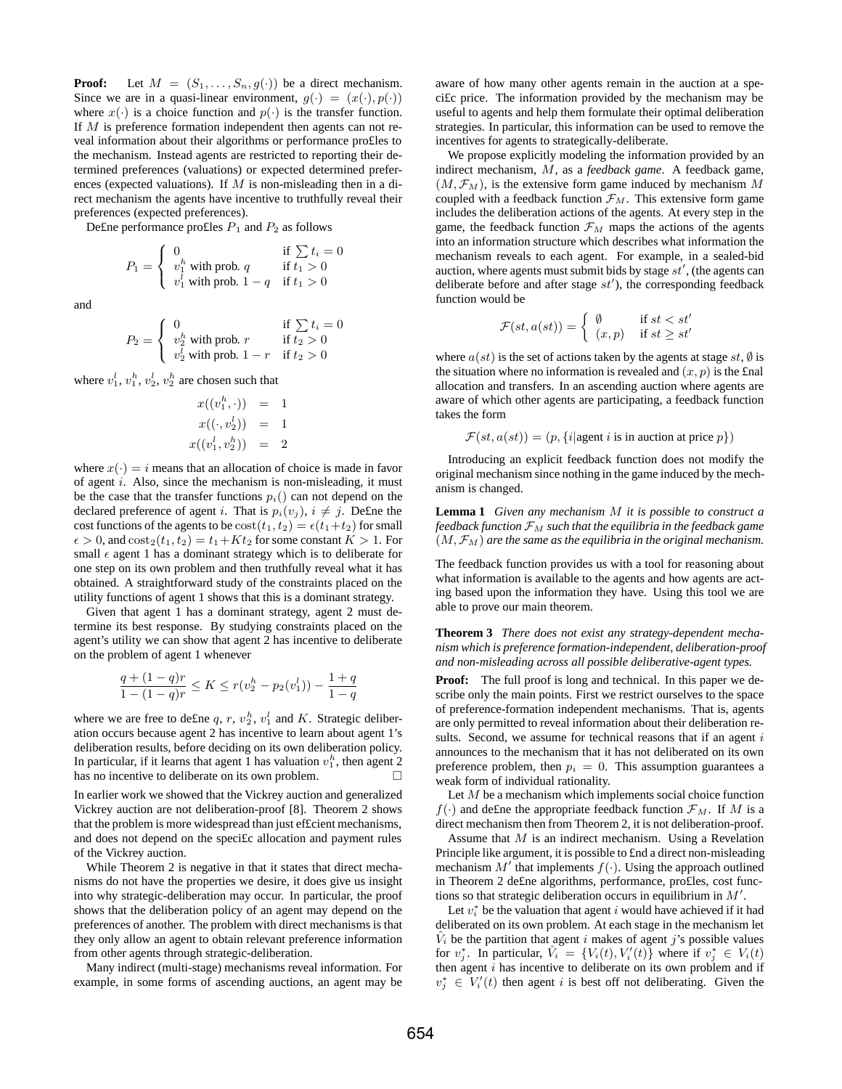**Proof:** Let  $M = (S_1, \ldots, S_n, g(\cdot))$  be a direct mechanism. Since we are in a quasi-linear environment,  $g(\cdot) = (x(\cdot), p(\cdot))$ where  $x(\cdot)$  is a choice function and  $p(\cdot)$  is the transfer function. If M is preference formation independent then agents can not reveal information about their algorithms or performance pro£les to the mechanism. Instead agents are restricted to reporting their determined preferences (valuations) or expected determined preferences (expected valuations). If  $M$  is non-misleading then in a direct mechanism the agents have incentive to truthfully reveal their preferences (expected preferences).

Define performance profiles  $P_1$  and  $P_2$  as follows

$$
P_1 = \begin{cases} 0 & \text{if } \sum t_i = 0\\ v_1^h \text{ with prob. } q & \text{if } t_1 > 0\\ v_1^l \text{ with prob. } 1 - q & \text{if } t_1 > 0 \end{cases}
$$

and

$$
P_2 = \begin{cases} 0 & \text{if } \sum t_i = 0\\ v_2^h \text{ with prob. } r & \text{if } t_2 > 0\\ v_2^l \text{ with prob. } 1 - r & \text{if } t_2 > 0 \end{cases}
$$

where  $v_1^l$ ,  $v_1^h$ ,  $v_2^l$ ,  $v_2^h$  are chosen such that

$$
x((v_1^h, \cdot)) = 1
$$
  

$$
x((\cdot, v_2^l)) = 1
$$
  

$$
x((v_1^l, v_2^h)) = 2
$$

where  $x(\cdot) = i$  means that an allocation of choice is made in favor of agent  $i$ . Also, since the mechanism is non-misleading, it must be the case that the transfer functions  $p_i()$  can not depend on the declared preference of agent i. That is  $p_i(v_j)$ ,  $i \neq j$ . Define the cost functions of the agents to be  $\text{cost}(t_1, t_2) = \epsilon(t_1+t_2)$  for small  $\epsilon > 0$ , and  $\text{cost}_2(t_1, t_2) = t_1 + Kt_2$  for some constant  $K > 1$ . For small  $\epsilon$  agent 1 has a dominant strategy which is to deliberate for one step on its own problem and then truthfully reveal what it has obtained. A straightforward study of the constraints placed on the utility functions of agent 1 shows that this is a dominant strategy.

Given that agent 1 has a dominant strategy, agent 2 must determine its best response. By studying constraints placed on the agent's utility we can show that agent 2 has incentive to deliberate on the problem of agent 1 whenever

$$
\frac{q + (1 - q)r}{1 - (1 - q)r} \le K \le r(v_2^h - p_2(v_1^l)) - \frac{1 + q}{1 - q}
$$

where we are free to define q, r,  $v_2^h$ ,  $v_1^l$  and K. Strategic deliberation occurs because agent 2 has incentive to learn about agent 1's deliberation results, before deciding on its own deliberation policy. In particular, if it learns that agent 1 has valuation  $v_1^h$ , then agent 2 has no incentive to deliberate on its own problem.  $\Box$ 

In earlier work we showed that the Vickrey auction and generalized Vickrey auction are not deliberation-proof [8]. Theorem 2 shows that the problem is more widespread than just ef£cient mechanisms, and does not depend on the speci£c allocation and payment rules of the Vickrey auction.

While Theorem 2 is negative in that it states that direct mechanisms do not have the properties we desire, it does give us insight into why strategic-deliberation may occur. In particular, the proof shows that the deliberation policy of an agent may depend on the preferences of another. The problem with direct mechanisms is that they only allow an agent to obtain relevant preference information from other agents through strategic-deliberation.

Many indirect (multi-stage) mechanisms reveal information. For example, in some forms of ascending auctions, an agent may be aware of how many other agents remain in the auction at a speci£c price. The information provided by the mechanism may be useful to agents and help them formulate their optimal deliberation strategies. In particular, this information can be used to remove the incentives for agents to strategically-deliberate.

We propose explicitly modeling the information provided by an indirect mechanism, M, as a *feedback game*. A feedback game,  $(M, \mathcal{F}_M)$ , is the extensive form game induced by mechanism M coupled with a feedback function  $\mathcal{F}_M$ . This extensive form game includes the deliberation actions of the agents. At every step in the game, the feedback function  $\mathcal{F}_M$  maps the actions of the agents into an information structure which describes what information the mechanism reveals to each agent. For example, in a sealed-bid auction, where agents must submit bids by stage  $st'$ , (the agents can deliberate before and after stage  $st'$ ), the corresponding feedback function would be

$$
\mathcal{F}(st, a(st)) = \begin{cases} \n\emptyset & \text{if } st < st' \\ \n(x, p) & \text{if } st \geq st' \n\end{cases}
$$

where  $a(st)$  is the set of actions taken by the agents at stage  $st$ ,  $\emptyset$  is the situation where no information is revealed and  $(x, p)$  is the £nal allocation and transfers. In an ascending auction where agents are aware of which other agents are participating, a feedback function takes the form

$$
\mathcal{F}(st, a(st)) = (p, \{i | \text{agent } i \text{ is in auction at price } p\})
$$

Introducing an explicit feedback function does not modify the original mechanism since nothing in the game induced by the mechanism is changed.

**Lemma 1** *Given any mechanism* M *it is possible to construct a feedback function*  $\mathcal{F}_M$  *such that the equilibria in the feedback game*  $(M, \mathcal{F}_M)$  *are the same as the equilibria in the original mechanism.* 

The feedback function provides us with a tool for reasoning about what information is available to the agents and how agents are acting based upon the information they have. Using this tool we are able to prove our main theorem.

**Theorem 3** *There does not exist any strategy-dependent mechanism which is preference formation-independent, deliberation-proof and non-misleading across all possible deliberative-agent types.*

**Proof:** The full proof is long and technical. In this paper we describe only the main points. First we restrict ourselves to the space of preference-formation independent mechanisms. That is, agents are only permitted to reveal information about their deliberation results. Second, we assume for technical reasons that if an agent  $i$ announces to the mechanism that it has not deliberated on its own preference problem, then  $p_i = 0$ . This assumption guarantees a weak form of individual rationality.

Let  $M$  be a mechanism which implements social choice function  $f(\cdot)$  and de£ne the appropriate feedback function  $\mathcal{F}_M$ . If M is a direct mechanism then from Theorem 2, it is not deliberation-proof.

Assume that  $M$  is an indirect mechanism. Using a Revelation Principle like argument, it is possible to £nd a direct non-misleading mechanism  $M'$  that implements  $f(\cdot)$ . Using the approach outlined in Theorem 2 de£ne algorithms, performance, pro£les, cost functions so that strategic deliberation occurs in equilibrium in  $M'$ .

Let  $v_i^*$  be the valuation that agent i would have achieved if it had deliberated on its own problem. At each stage in the mechanism let  $V_i$  be the partition that agent i makes of agent j's possible values for  $v_j^*$ . In particular,  $\hat{V}_i = \{V_i(t), V'_i(t)\}$  where if  $v_j^* \in V_i(t)$ then agent  $i$  has incentive to deliberate on its own problem and if  $v_j^* \in V'_i(t)$  then agent i is best off not deliberating. Given the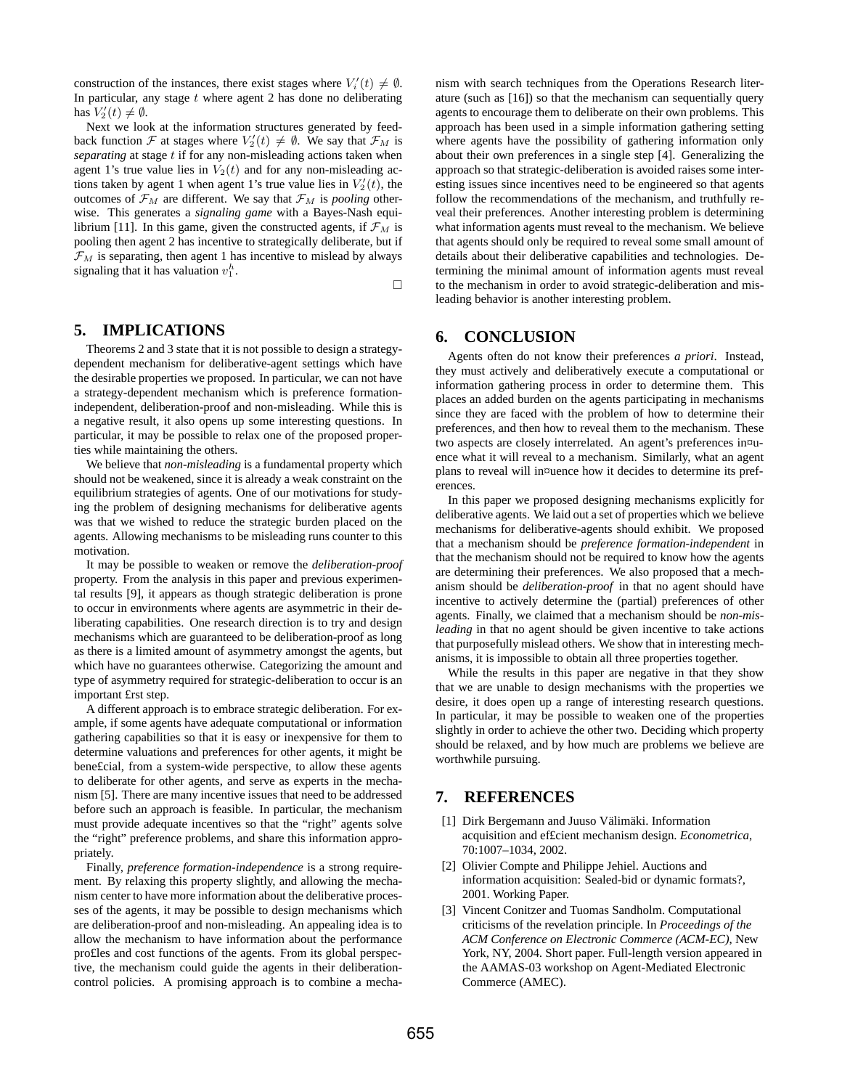construction of the instances, there exist stages where  $V_i'(t) \neq \emptyset$ . In particular, any stage  $t$  where agent 2 has done no deliberating has  $V_2'(t) \neq \emptyset$ .

Next we look at the information structures generated by feedback function F at stages where  $V_2'(t) \neq \emptyset$ . We say that  $\mathcal{F}_M$  is *separating* at stage t if for any non-misleading actions taken when agent 1's true value lies in  $V_2(t)$  and for any non-misleading actions taken by agent 1 when agent 1's true value lies in  $V_2'(t)$ , the outcomes of  $\mathcal{F}_M$  are different. We say that  $\mathcal{F}_M$  is *pooling* otherwise. This generates a *signaling game* with a Bayes-Nash equilibrium [11]. In this game, given the constructed agents, if  $\mathcal{F}_M$  is pooling then agent 2 has incentive to strategically deliberate, but if  $\mathcal{F}_M$  is separating, then agent 1 has incentive to mislead by always signaling that it has valuation  $v_1^h$ .

¤

## **5. IMPLICATIONS**

Theorems 2 and 3 state that it is not possible to design a strategydependent mechanism for deliberative-agent settings which have the desirable properties we proposed. In particular, we can not have a strategy-dependent mechanism which is preference formationindependent, deliberation-proof and non-misleading. While this is a negative result, it also opens up some interesting questions. In particular, it may be possible to relax one of the proposed properties while maintaining the others.

We believe that *non-misleading* is a fundamental property which should not be weakened, since it is already a weak constraint on the equilibrium strategies of agents. One of our motivations for studying the problem of designing mechanisms for deliberative agents was that we wished to reduce the strategic burden placed on the agents. Allowing mechanisms to be misleading runs counter to this motivation.

It may be possible to weaken or remove the *deliberation-proof* property. From the analysis in this paper and previous experimental results [9], it appears as though strategic deliberation is prone to occur in environments where agents are asymmetric in their deliberating capabilities. One research direction is to try and design mechanisms which are guaranteed to be deliberation-proof as long as there is a limited amount of asymmetry amongst the agents, but which have no guarantees otherwise. Categorizing the amount and type of asymmetry required for strategic-deliberation to occur is an important £rst step.

A different approach is to embrace strategic deliberation. For example, if some agents have adequate computational or information gathering capabilities so that it is easy or inexpensive for them to determine valuations and preferences for other agents, it might be bene£cial, from a system-wide perspective, to allow these agents to deliberate for other agents, and serve as experts in the mechanism [5]. There are many incentive issues that need to be addressed before such an approach is feasible. In particular, the mechanism must provide adequate incentives so that the "right" agents solve the "right" preference problems, and share this information appropriately.

Finally, *preference formation-independence* is a strong requirement. By relaxing this property slightly, and allowing the mechanism center to have more information about the deliberative processes of the agents, it may be possible to design mechanisms which are deliberation-proof and non-misleading. An appealing idea is to allow the mechanism to have information about the performance pro£les and cost functions of the agents. From its global perspective, the mechanism could guide the agents in their deliberationcontrol policies. A promising approach is to combine a mechanism with search techniques from the Operations Research literature (such as [16]) so that the mechanism can sequentially query agents to encourage them to deliberate on their own problems. This approach has been used in a simple information gathering setting where agents have the possibility of gathering information only about their own preferences in a single step [4]. Generalizing the approach so that strategic-deliberation is avoided raises some interesting issues since incentives need to be engineered so that agents follow the recommendations of the mechanism, and truthfully reveal their preferences. Another interesting problem is determining what information agents must reveal to the mechanism. We believe that agents should only be required to reveal some small amount of details about their deliberative capabilities and technologies. Determining the minimal amount of information agents must reveal to the mechanism in order to avoid strategic-deliberation and misleading behavior is another interesting problem.

## **6. CONCLUSION**

Agents often do not know their preferences *a priori*. Instead, they must actively and deliberatively execute a computational or information gathering process in order to determine them. This places an added burden on the agents participating in mechanisms since they are faced with the problem of how to determine their preferences, and then how to reveal them to the mechanism. These two aspects are closely interrelated. An agent's preferences in¤uence what it will reveal to a mechanism. Similarly, what an agent plans to reveal will in¤uence how it decides to determine its preferences.

In this paper we proposed designing mechanisms explicitly for deliberative agents. We laid out a set of properties which we believe mechanisms for deliberative-agents should exhibit. We proposed that a mechanism should be *preference formation-independent* in that the mechanism should not be required to know how the agents are determining their preferences. We also proposed that a mechanism should be *deliberation-proof* in that no agent should have incentive to actively determine the (partial) preferences of other agents. Finally, we claimed that a mechanism should be *non-misleading* in that no agent should be given incentive to take actions that purposefully mislead others. We show that in interesting mechanisms, it is impossible to obtain all three properties together.

While the results in this paper are negative in that they show that we are unable to design mechanisms with the properties we desire, it does open up a range of interesting research questions. In particular, it may be possible to weaken one of the properties slightly in order to achieve the other two. Deciding which property should be relaxed, and by how much are problems we believe are worthwhile pursuing.

## **7. REFERENCES**

- [1] Dirk Bergemann and Juuso Välimäki. Information acquisition and ef£cient mechanism design. *Econometrica*, 70:1007–1034, 2002.
- [2] Olivier Compte and Philippe Jehiel. Auctions and information acquisition: Sealed-bid or dynamic formats?, 2001. Working Paper.
- [3] Vincent Conitzer and Tuomas Sandholm. Computational criticisms of the revelation principle. In *Proceedings of the ACM Conference on Electronic Commerce (ACM-EC)*, New York, NY, 2004. Short paper. Full-length version appeared in the AAMAS-03 workshop on Agent-Mediated Electronic Commerce (AMEC).